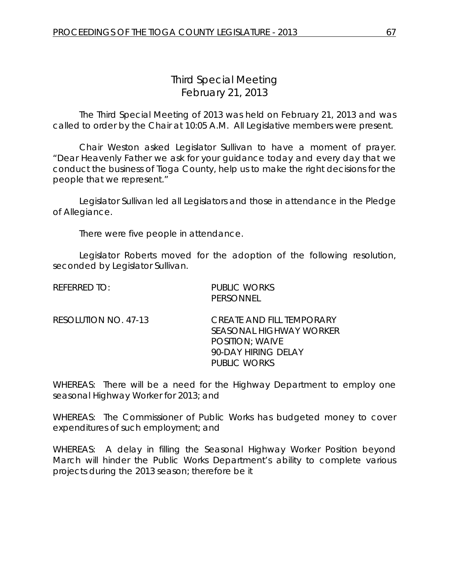## *Third Special Meeting* February 21, 2013

The Third Special Meeting of 2013 was held on February 21, 2013 and was called to order by the Chair at 10:05 A.M. All Legislative members were present.

Chair Weston asked Legislator Sullivan to have a moment of prayer. "Dear Heavenly Father we ask for your guidance today and every day that we conduct the business of Tioga County, help us to make the right decisions for the people that we represent."

Legislator Sullivan led all Legislators and those in attendance in the Pledge of Allegiance.

There were five people in attendance.

Legislator Roberts moved for the adoption of the following resolution, seconded by Legislator Sullivan.

| referred to:         | PUBLIC WORKS<br>PERSONNEL                                                                                                           |
|----------------------|-------------------------------------------------------------------------------------------------------------------------------------|
| RESOLUTION NO. 47-13 | <i>CREATE AND FILL TEMPORARY</i><br>SEASONAL HIGHWAY WORKER<br><b>POSITION: WAIVE</b><br>90-DAY HIRING DELAY<br><b>PUBLIC WORKS</b> |

WHEREAS: There will be a need for the Highway Department to employ one seasonal Highway Worker for 2013; and

WHEREAS: The Commissioner of Public Works has budgeted money to cover expenditures of such employment; and

WHEREAS: A delay in filling the Seasonal Highway Worker Position beyond March will hinder the Public Works Department's ability to complete various projects during the 2013 season; therefore be it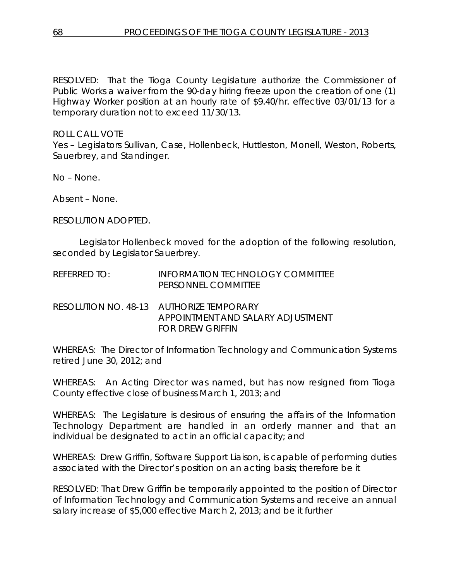RESOLVED: That the Tioga County Legislature authorize the Commissioner of Public Works a waiver from the 90-day hiring freeze upon the creation of one (1) Highway Worker position at an hourly rate of \$9.40/hr. effective 03/01/13 for a temporary duration not to exceed 11/30/13.

## ROLL CALL VOTE

Yes – Legislators Sullivan, Case, Hollenbeck, Huttleston, Monell, Weston, Roberts, Sauerbrey, and Standinger.

No – None.

Absent – None.

RESOLUTION ADOPTED.

Legislator Hollenbeck moved for the adoption of the following resolution, seconded by Legislator Sauerbrey.

| REFERRED TO: | <b>INFORMATION TECHNOLOGY COMMITTEE</b> |
|--------------|-----------------------------------------|
|              | <b>PERSONNEL COMMITTEE</b>              |

RESOLUTION NO. 48-13 *AUTHORIZE TEMPORARY APPOINTMENT AND SALARY ADJUSTMENT FOR DREW GRIFFIN*

WHEREAS: The Director of Information Technology and Communication Systems retired June 30, 2012; and

WHEREAS: An Acting Director was named, but has now resigned from Tioga County effective close of business March 1, 2013; and

WHEREAS: The Legislature is desirous of ensuring the affairs of the Information Technology Department are handled in an orderly manner and that an individual be designated to act in an official capacity; and

WHEREAS: Drew Griffin, Software Support Liaison, is capable of performing duties associated with the Director's position on an acting basis; therefore be it

RESOLVED: That Drew Griffin be temporarily appointed to the position of Director of Information Technology and Communication Systems and receive an annual salary increase of \$5,000 effective March 2, 2013; and be it further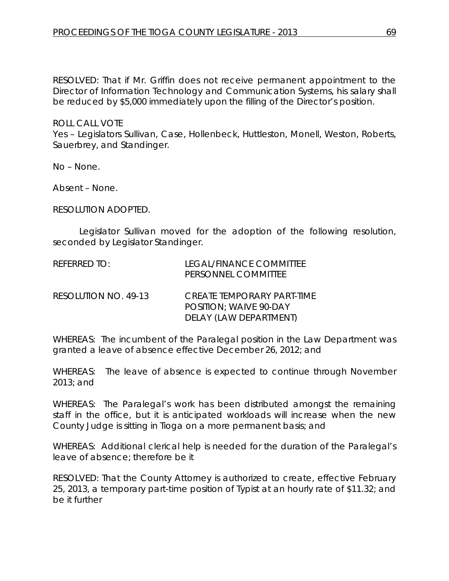RESOLVED: That if Mr. Griffin does not receive permanent appointment to the Director of Information Technology and Communication Systems, his salary shall be reduced by \$5,000 immediately upon the filling of the Director's position.

ROLL CALL VOTE Yes – Legislators Sullivan, Case, Hollenbeck, Huttleston, Monell, Weston, Roberts, Sauerbrey, and Standinger.

No – None.

Absent – None.

RESOLUTION ADOPTED.

Legislator Sullivan moved for the adoption of the following resolution, seconded by Legislator Standinger.

| REFERRED TO:         | LEGAL/FINANCE COMMITTEE<br>PERSONNEL COMMITTEE                                        |
|----------------------|---------------------------------------------------------------------------------------|
| RESOLUTION NO. 49-13 | CREATE TEMPORARY PART-TIME<br><b>POSITION: WAIVE 90-DAY</b><br>DELAY (LAW DEPARTMENT) |

WHEREAS: The incumbent of the Paralegal position in the Law Department was granted a leave of absence effective December 26, 2012; and

WHEREAS: The leave of absence is expected to continue through November 2013; and

WHEREAS: The Paralegal's work has been distributed amongst the remaining staff in the office, but it is anticipated workloads will increase when the new County Judge is sitting in Tioga on a more permanent basis; and

WHEREAS: Additional clerical help is needed for the duration of the Paralegal's leave of absence; therefore be it

RESOLVED: That the County Attorney is authorized to create, effective February 25, 2013, a temporary part-time position of Typist at an hourly rate of \$11.32; and be it further